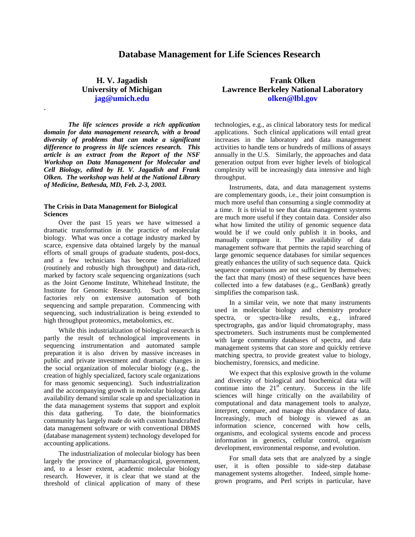## **Database Management for Life Sciences Research**

# **H. V. Jagadish University of Michigan [jag@umich.edu](mailto:jag@umich.edu)**

.

*The life sciences provide a rich application domain for data management research, with a broad diversity of problems that can make a significant difference to progress in life sciences research. This article is an extract from the Report of the NSF Workshop on Data Management for Molecular and Cell Biology, edited by H. V. Jagadish and Frank Olken. The workshop was held at the National Library of Medicine, Bethesda, MD, Feb. 2-3, 2003.* 

#### **The Crisis in Data Management for Biological Sciences**

Over the past 15 years we have witnessed a dramatic transformation in the practice of molecular biology. What was once a cottage industry marked by scarce, expensive data obtained largely by the manual efforts of small groups of graduate students, post-docs, and a few technicians has become industrialized (routinely and robustly high throughput) and data-rich, marked by factory scale sequencing organizations (such as the Joint Genome Institute, Whitehead Institute, the Institute for Genomic Research). Such sequencing factories rely on extensive automation of both sequencing and sample preparation. Commencing with sequencing, such industrialization is being extended to high throughput proteomics, metabolomics, etc.

While this industrialization of biological research is partly the result of technological improvements in sequencing instrumentation and automated sample preparation it is also driven by massive increases in public and private investment and dramatic changes in the social organization of molecular biology (e.g., the creation of highly specialized, factory scale organizations for mass genomic sequencing). Such industrialization and the accompanying growth in molecular biology data availability demand similar scale up and specialization in the data management systems that support and exploit this data gathering. To date, the bioinformatics community has largely made do with custom handcrafted data management software or with conventional DBMS (database management system) technology developed for accounting applications.

The industrialization of molecular biology has been largely the province of pharmacological, government, and, to a lesser extent, academic molecular biology research. However, it is clear that we stand at the threshold of clinical application of many of these

# **Frank Olken Lawrence Berkeley National Laboratory [olken@lbl.gov](mailto:olken@lbl.gov)**

technologies, e.g., as clinical laboratory tests for medical applications. Such clinical applications will entail great increases in the laboratory and data management activities to handle tens or hundreds of millions of assays annually in the U.S. Similarly, the approaches and data generation output from ever higher levels of biological complexity will be increasingly data intensive and high throughput.

Instruments, data, and data management systems are complementary goods, i.e., their joint consumption is much more useful than consuming a single commodity at a time. It is trivial to see that data management systems are much more useful if they contain data. Consider also what how limited the utility of genomic sequence data would be if we could only publish it in books, and manually compare it. The availability of data management software that permits the rapid searching of large genomic sequence databases for similar sequences greatly enhances the utility of such sequence data. Quick sequence comparisons are not sufficient by themselves; the fact that many (most) of these sequences have been collected into a few databases (e.g., GenBank) greatly simplifies the comparison task.

In a similar vein, we note that many instruments used in molecular biology and chemistry produce spectra, or spectra-like results, e.g., infrared spectrographs, gas and/or liquid chromatography, mass spectrometers. Such instruments must be complemented with large community databases of spectra, and data management systems that can store and quickly retrieve matching spectra, to provide greatest value to biology, biochemistry, forensics, and medicine.

We expect that this explosive growth in the volume and diversity of biological and biochemical data will continue into the  $21<sup>st</sup>$  century. Success in the life sciences will hinge critically on the availability of computational and data management tools to analyze, interpret, compare, and manage this abundance of data. Increasingly, much of biology is viewed as an information science, concerned with how cells, organisms, and ecological systems encode and process information in genetics, cellular control, organism development, environmental response, and evolution.

For small data sets that are analyzed by a single user, it is often possible to side-step database management systems altogether. Indeed, simple homegrown programs, and Perl scripts in particular, have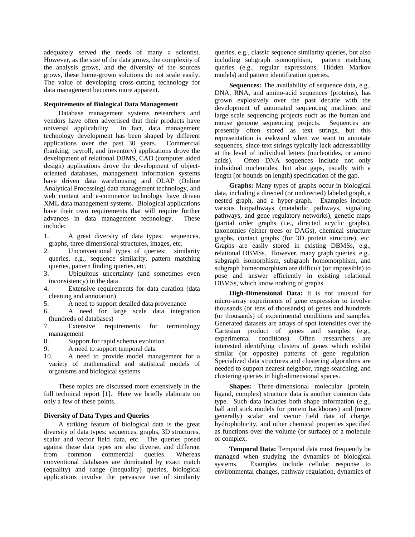adequately served the needs of many a scientist. However, as the size of the data grows, the complexity of the analysis grows, and the diversity of the sources grows, these home-grown solutions do not scale easily. The value of developing cross-cutting technology for data management becomes more apparent.

## **Requirements of Biological Data Management**

Database management systems researchers and vendors have often advertised that their products have universal applicability. In fact, data management technology development has been shaped by different applications over the past 30 years. Commercial (banking, payroll, and inventory) applications drove the development of relational DBMS, CAD (computer aided design) applications drove the development of objectoriented databases, management information systems have driven data warehousing and OLAP (Online Analytical Processing) data management technology, and web content and e-commerce technology have driven XML data management systems. Biological applications have their own requirements that will require further advances in data management technology. These include:

- 1. A great diversity of data types: sequences, graphs, three dimensional structures, images, etc.
- 2. Unconventional types of queries: similarity queries, e.g., sequence similarity, pattern matching queries, pattern finding queries, etc.<br>3. Ubiquitous uncertainty (and
- Ubiquitous uncertainty (and sometimes even inconsistency) in the data
- 4. Extensive requirements for data curation (data cleaning and annotation)
- 5. A need to support detailed data provenance
- 6. A need for large scale data integration (hundreds of databases)
- 7. Extensive requirements for terminology management
- 8. Support for rapid schema evolution
- 9. A need to support temporal data
- 10. A need to provide model management for a variety of mathematical and statistical models of organisms and biological systems

These topics are discussed more extensively in the full technical report [1]. Here we briefly elaborate on only a few of these points.

## **Diversity of Data Types and Queries**

A striking feature of biological data is the great diversity of data types: sequences, graphs, 3D structures, scalar and vector field data, etc. The queries posed against these data types are also diverse, and different from common commercial queries. Whereas conventional databases are dominated by exact match (equality) and range (inequality) queries, biological applications involve the pervasive use of similarity

queries, e.g., classic sequence similarity queries, but also including subgraph isomorphism, pattern matching queries (e.g., regular expressions, Hidden Markov models) and pattern identification queries.

**Sequences:** The availability of sequence data, e.g., DNA, RNA, and amino-acid sequences (proteins), has grown explosively over the past decade with the development of automated sequencing machines and large scale sequencing projects such as the human and mouse genome sequencing projects.Sequences are presently often stored as text strings, but this representation is awkward when we want to annotate sequences, since text strings typically lack addressability at the level of individual letters (nucleotides, or amino acids). Often DNA sequences include not only individual nucleotides, but also gaps, usually with a length (or bounds on length) specification of the gap.

**Graphs:** Many types of graphs occur in biological data, including a directed (or undirected) labeled graph, a nested graph, and a hyper-graph. Examples include various biopathways (metabolic pathways, signaling pathways, and gene regulatory networks), genetic maps (partial order graphs (i.e., directed acyclic graphs), taxonomies (either trees or DAGs), chemical structure graphs, contact graphs (for 3D protein structure), etc. Graphs are easily stored in existing DBMSs, e.g., relational DBMSs. However, many graph queries, e.g., subgraph isomorphism, subgraph homomorphism, and subgraph homeomorphism are difficult (or impossible) to pose and answer efficiently in existing relational DBMSs, which know nothing of graphs.

**High-Dimensional Data:** It is not unusual for micro-array experiments of gene expression to involve thousands (or tens of thousands) of genes and hundreds (or thousands) of experimental conditions and samples. Generated datasets are arrays of spot intensities over the Cartesian product of genes and samples (e.g., experimental conditions). Often researchers are interested identifying clusters of genes which exhibit similar (or opposite) patterns of gene regulation. Specialized data structures and clustering algorithms are needed to support nearest neighbor, range searching, and clustering queries in high-dimensional spaces.

**Shapes:** Three-dimensional molecular (protein, ligand, complex) structure data is another common data type. Such data includes both shape information (e.g., ball and stick models for protein backbones) and (more generally) scalar and vector field data of charge, hydrophobicity, and other chemical properties specified as functions over the volume (or surface) of a molecule or complex.

**Temporal Data:** Temporal data must frequently be managed when studying the dynamics of biological systems. Examples include cellular response to environmental changes, pathway regulation, dynamics of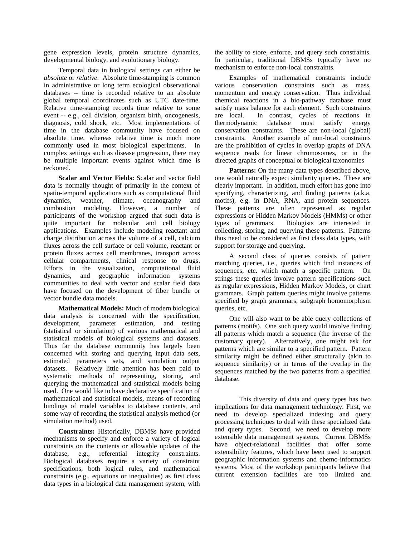gene expression levels, protein structure dynamics, developmental biology, and evolutionary biology.

Temporal data in biological settings can either be *absolute* or *relative*. Absolute time-stamping is common in administrative or long term ecological observational databases -- time is recorded relative to an absolute global temporal coordinates such as UTC date-time. Relative time-stamping records time relative to some event -- e.g., cell division, organism birth, oncogenesis, diagnosis, cold shock, etc. Most implementations of time in the database community have focused on absolute time, whereas relative time is much more commonly used in most biological experiments. In complex settings such as disease progression, there may be multiple important events against which time is reckoned.

**Scalar and Vector Fields:** Scalar and vector field data is normally thought of primarily in the context of spatio-temporal applications such as computational fluid dynamics, weather, climate, oceanography and combustion modeling. However, a number of participants of the workshop argued that such data is quite important for molecular and cell biology applications. Examples include modeling reactant and charge distribution across the volume of a cell, calcium fluxes across the cell surface or cell volume, reactant or protein fluxes across cell membranes, transport across cellular compartments, clinical response to drugs. Efforts in the visualization, computational fluid dynamics, and geographic information systems communities to deal with vector and scalar field data have focused on the development of fiber bundle or vector bundle data models.

**Mathematical Models:** Much of modern biological data analysis is concerned with the specification, development, parameter estimation, and testing (statistical or simulation) of various mathematical and statistical models of biological systems and datasets. Thus far the database community has largely been concerned with storing and querying input data sets, estimated parameters sets, and simulation output datasets. Relatively little attention has been paid to systematic methods of representing, storing, and querying the mathematical and statistical models being used. One would like to have declarative specification of mathematical and statistical models, means of recording bindings of model variables to database contents, and some way of recording the statistical analysis method (or simulation method) used.

**Constraints:** Historically, DBMSs have provided mechanisms to specify and enforce a variety of logical constraints on the contents or allowable updates of the database, e.g., referential integrity constraints. Biological databases require a variety of constraint specifications, both logical rules, and mathematical constraints (e.g., equations or inequalities) as first class data types in a biological data management system, with the ability to store, enforce, and query such constraints. In particular, traditional DBMSs typically have no mechanism to enforce non-local constraints.

Examples of mathematical constraints include various conservation constraints such as mass, momentum and energy conservation. Thus individual chemical reactions in a bio-pathway database must satisfy mass balance for each element. Such constraints are local. In contrast, cycles of reactions in thermodynamic database must satisfy energy conservation constraints. These are non-local (global) constraints. Another example of non-local constraints are the prohibition of cycles in overlap graphs of DNA sequence reads for linear chromosomes, or in the directed graphs of conceptual or biological taxonomies

Patterns: On the many data types described above, one would naturally expect similarity queries. These are clearly important. In addition, much effort has gone into specifying, characterizing, and finding patterns (a.k.a. motifs), e.g. in DNA, RNA, and protein sequences. These patterns are often represented as regular expressions or Hidden Markov Models (HMMs) or other types of grammars. Biologists are interested in Biologists are interested in collecting, storing, and querying these patterns. Patterns thus need to be considered as first class data types, with support for storage and querying.

A second class of queries consists of pattern matching queries, i.e., queries which find instances of sequences, etc. which match a specific pattern. On strings these queries involve pattern specifications such as regular expressions, Hidden Markov Models, or chart grammars. Graph pattern queries might involve patterns specified by graph grammars, subgraph homomorphism queries, etc.

One will also want to be able query collections of patterns (motifs). One such query would involve finding all patterns which match a sequence (the inverse of the customary query). Alternatively, one might ask for patterns which are similar to a specified pattern. Pattern similarity might be defined either structurally (akin to sequence similarity) or in terms of the overlap in the sequences matched by the two patterns from a specified database.

This diversity of data and query types has two implications for data management technology. First, we need to develop specialized indexing and query processing techniques to deal with these specialized data and query types. Second, we need to develop more extensible data management systems. Current DBMSs have object-relational facilities that offer some extensibility features, which have been used to support geographic information systems and chemo-informatics systems. Most of the workshop participants believe that current extension facilities are too limited and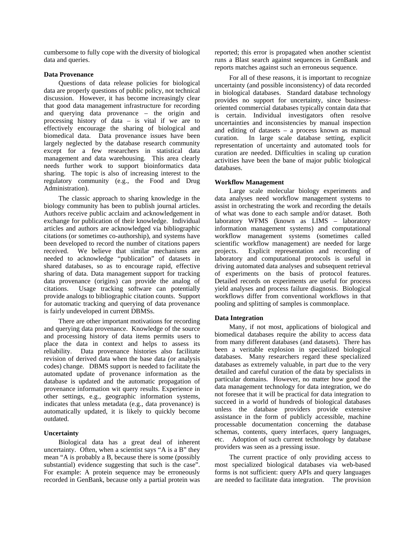cumbersome to fully cope with the diversity of biological data and queries.

## **Data Provenance**

Questions of data release policies for biological data are properly questions of public policy, not technical discussion. However, it has become increasingly clear that good data management infrastructure for recording and querying data provenance – the origin and processing history of data – is vital if we are to effectively encourage the sharing of biological and biomedical data. Data provenance issues have been largely neglected by the database research community except for a few researchers in statistical data management and data warehousing. This area clearly needs further work to support bioinformatics data sharing. The topic is also of increasing interest to the regulatory community (e.g., the Food and Drug Administration).

The classic approach to sharing knowledge in the biology community has been to publish journal articles. Authors receive public acclaim and acknowledgement in exchange for publication of their knowledge. Individual articles and authors are acknowledged via bibliographic citations (or sometimes co-authorship), and systems have been developed to record the number of citations papers received. We believe that similar mechanisms are needed to acknowledge "publication" of datasets in shared databases, so as to encourage rapid, effective sharing of data. Data management support for tracking data provenance (origins) can provide the analog of citations. Usage tracking software can potentially provide analogs to bibliographic citation counts. Support for automatic tracking and querying of data provenance is fairly undeveloped in current DBMSs.

There are other important motivations for recording and querying data provenance. Knowledge of the source and processing history of data items permits users to place the data in context and helps to assess its reliability. Data provenance histories also facilitate revision of derived data when the base data (or analysis codes) change. DBMS support is needed to facilitate the automated update of provenance information as the database is updated and the automatic propagation of provenance information wit query results. Experience in other settings, e.g., geographic information systems, indicates that unless metadata (e.g., data provenance) is automatically updated, it is likely to quickly become outdated.

#### **Uncertainty**

Biological data has a great deal of inherent uncertainty. Often, when a scientist says "A is a B" they mean "A is probably a B, because there is some (possibly substantial) evidence suggesting that such is the case". For example: A protein sequence may be erroneously recorded in GenBank, because only a partial protein was

reported; this error is propagated when another scientist runs a Blast search against sequences in GenBank and reports matches against such an erroneous sequence.

For all of these reasons, it is important to recognize uncertainty (and possible inconsistency) of data recorded in biological databases. Standard database technology provides no support for uncertainty, since businessoriented commercial databases typically contain data that is certain. Individual investigators often resolve uncertainties and inconsistencies by manual inspection and editing of datasets – a process known as manual curation. In large scale database setting, explicit representation of uncertainty and automated tools for curation are needed. Difficulties in scaling up curation activities have been the bane of major public biological databases.

## **Workflow Management**

Large scale molecular biology experiments and data analyses need workflow management systems to assist in orchestrating the work and recording the details of what was done to each sample and/or dataset. Both laboratory WFMS (known as LIMS – laboratory information management systems) and computational workflow management systems (sometimes called scientific workflow management) are needed for large projects. Explicit representation and recording of laboratory and computational protocols is useful in driving automated data analyses and subsequent retrieval of experiments on the basis of protocol features. Detailed records on experiments are useful for process yield analyses and process failure diagnosis. Biological workflows differ from conventional workflows in that pooling and splitting of samples is commonplace.

#### **Data Integration**

Many, if not most, applications of biological and biomedical databases require the ability to access data from many different databases (and datasets). There has been a veritable explosion in specialized biological databases. Many researchers regard these specialized databases as extremely valuable, in part due to the very detailed and careful curation of the data by specialists in particular domains. However, no matter how good the data management technology for data integration, we do not foresee that it will be practical for data integration to succeed in a world of hundreds of biological databases unless the database providers provide extensive assistance in the form of publicly accessible, machine processable documentation concerning the database schemas, contents, query interfaces, query languages, etc. Adoption of such current technology by database providers was seen as a pressing issue.

The current practice of only providing access to most specialized biological databases via web-based forms is not sufficient: query APIs and query languages are needed to facilitate data integration. The provision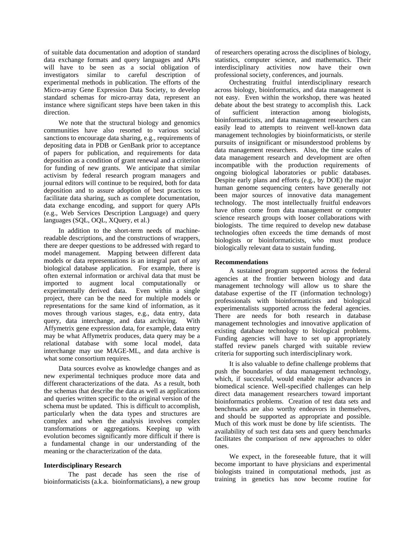of suitable data documentation and adoption of standard data exchange formats and query languages and APIs will have to be seen as a social obligation of investigators similar to careful description of experimental methods in publication. The efforts of the Micro-array Gene Expression Data Society, to develop standard schemas for micro-array data, represent an instance where significant steps have been taken in this direction.

We note that the structural biology and genomics communities have also resorted to various social sanctions to encourage data sharing, e.g., requirements of depositing data in PDB or GenBank prior to acceptance of papers for publication, and requirements for data deposition as a condition of grant renewal and a criterion for funding of new grants. We anticipate that similar activism by federal research program managers and journal editors will continue to be required, both for data deposition and to assure adoption of best practices to facilitate data sharing, such as complete documentation, data exchange encoding, and support for query APIs (e.g., Web Services Description Language) and query languages (SQL, OQL, XQuery, et al.)

In addition to the short-term needs of machinereadable descriptions, and the constructions of wrappers, there are deeper questions to be addressed with regard to model management. Mapping between different data models or data representations is an integral part of any biological database application. For example, there is often external information or archival data that must be imported to augment local computationally or experimentally derived data. Even within a single project, there can be the need for multiple models or representations for the same kind of information, as it moves through various stages, e.g., data entry, data query, data interchange, and data archiving. With Affymetrix gene expression data, for example, data entry may be what Affymetrix produces, data query may be a relational database with some local model, data interchange may use MAGE-ML, and data archive is what some consortium requires.

Data sources evolve as knowledge changes and as new experimental techniques produce more data and different characterizations of the data. As a result, both the schemas that describe the data as well as applications and queries written specific to the original version of the schema must be updated. This is difficult to accomplish, particularly when the data types and structures are complex and when the analysis involves complex transformations or aggregations. Keeping up with evolution becomes significantly more difficult if there is a fundamental change in our understanding of the meaning or the characterization of the data.

## **Interdisciplinary Research**

The past decade has seen the rise of bioinformaticists (a.k.a. bioinformaticians), a new group

of researchers operating across the disciplines of biology, statistics, computer science, and mathematics. Their interdisciplinary activities now have their own professional society, conferences, and journals.

Orchestrating fruitful interdisciplinary research across biology, bioinformatics, and data management is not easy. Even within the workshop, there was heated debate about the best strategy to accomplish this. Lack of sufficient interaction among biologists, bioinformaticists, and data management researchers can easily lead to attempts to reinvent well-known data management technologies by bioinformaticists, or sterile pursuits of insignificant or misunderstood problems by data management researchers. Also, the time scales of data management research and development are often incompatible with the production requirements of ongoing biological laboratories or public databases. Despite early plans and efforts (e.g., by DOE) the major human genome sequencing centers have generally not been major sources of innovative data management technology. The most intellectually fruitful endeavors have often come from data management or computer science research groups with looser collaborations with biologists. The time required to develop new database technologies often exceeds the time demands of most biologists or bioinformaticists, who must produce biologically relevant data to sustain funding.

#### **Recommendations**

A sustained program supported across the federal agencies at the frontier between biology and data management technology will allow us to share the database expertise of the IT (information technology) professionals with bioinformaticists and biological experimentalists supported across the federal agencies. There are needs for both research in database management technologies and innovative application of existing database technology to biological problems. Funding agencies will have to set up appropriately staffed review panels charged with suitable review criteria for supporting such interdisciplinary work.

It is also valuable to define challenge problems that push the boundaries of data management technology, which, if successful, would enable major advances in biomedical science. Well-specified challenges can help direct data management researchers toward important bioinformatics problems. Creation of test data sets and benchmarks are also worthy endeavors in themselves, and should be supported as appropriate and possible. Much of this work must be done by life scientists. The availability of such test data sets and query benchmarks facilitates the comparison of new approaches to older ones.

We expect, in the foreseeable future, that it will become important to have physicians and experimental biologists trained in computational methods, just as training in genetics has now become routine for